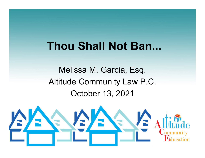#### **Thou Shall Not Ban...**

Melissa M. Garcia, Esq. Altitude Community Law P.C. October 13, 2021

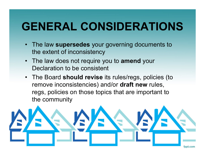#### **GENERAL CONSIDERATIONS**

- The law **supersedes** your governing documents to the extent of inconsistency
- The law does not require you to **amend** your Declaration to be consistent
- The Board **should revise** its rules/regs, policies (to remove inconsistencies) and/or **draft new** rules, regs, policies on those topics that are important to the community

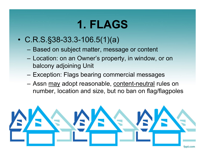#### **1. FLAGS**

- C.R.S.§38-33.3-106.5(1)(a)
	- Based on subject matter, message or content
	- Location: on an Owner's property, in window, or on balcony adjoining Unit
	- –Exception: Flags bearing commercial messages
	- Assn <u>may</u> adopt reasonable, <u>content-neutral</u> rules on number, location and size, but no ban on flag/flagpoles

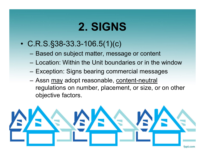#### **2. SIGNS**

- C.R.S.§38-33.3-106.5(1)(c)
	- Based on subject matter, message or content
	- Location: Within the Unit boundaries or in the window
	- Exception: Signs bearing commercial messages
	- Assn <u>may</u> adopt reasonable, <u>content-neutral</u> regulations on number, placement, or size, or on other objective factors.

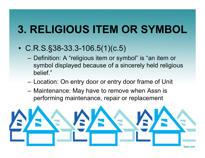## **3. RELIGIOUS ITEM OR SYMBOL**

- C.R.S.§38-33.3-106.5(1)(c.5)
	- – Definition: A "religious item or symbol" is "an item or symbol displayed because of a sincerely held religious belief."
	- –Location: On entry door or entry door frame of Unit
	- – Maintenance: May have to remove when Assn is performing maintenance, repair or replacement

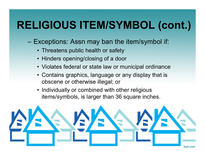#### **RELIGIOUS ITEM/SYMBOL (cont.)**

- – Exceptions: Assn may ban the item/symbol if:
	- Threatens public health or safety
	- Hinders opening/closing of a door
	- Violates federal or state law or municipal ordinance
	- Contains graphics, language or any display that is obscene or otherwise illegal; or
	- Individually or combined with other religious items/symbols, is larger than 36 square inches.

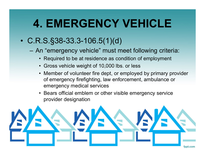#### **4. EMERGENCY VEHICLE**

#### • C.R.S.§38-33.3-106.5(1)(d)

- – An "emergency vehicle" must meet following criteria:
	- Required to be at residence as condition of employment
	- Gross vehicle weight of 10,000 lbs. or less
	- Member of volunteer fire dept, or employed by primary provider of emergency firefighting, law enforcement, ambulance or emergency medical services
	- Bears official emblem or other visible emergency service provider designation

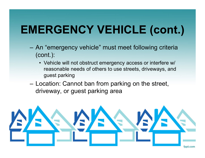## **EMERGENCY VEHICLE (cont.)**

- An "emergency vehicle" must meet following criteria (cont.):
	- Vehicle will not obstruct emergency access or interfere w/ reasonable needs of others to use streets, driveways, and guest parking
- – Location: Cannot ban from parking on the street, driveway, or guest parking area

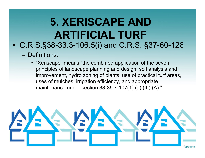#### **5. XERISCAPE ANDARTIFICIAL TURF**• C.R.S.§38-33.3-106.5(i) and C.R.S. §37-60-126

- Definitions:
	- "Xeriscape" means "the combined application of the seven principles of landscape planning and design, soil analysis and improvement, hydro zoning of plants, use of practical turf areas, uses of mulches, irrigation efficiency, and appropriate maintenance under section 38-35.7-107(1) (a) (III) (A)."

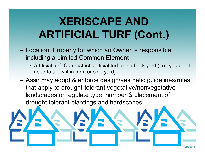#### **XERISCAPE ANDARTIFICIAL TURF (Cont.)**

- – Location: Property for which an Owner is responsible, including a Limited Common Element
	- Artificial turf: Can restrict artificial turf to the back yard (i.e., you don't need to allow it in front or side yard)
- –Assn <u>may</u> adopt & enforce design/aesthetic guidelines/rules that apply to drought-tolerant vegetative/nonvegetative landscapes or regulate type, number & placement of drought-tolerant plantings and hardscapes

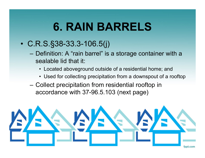#### **6. RAIN BARRELS**

- C.R.S.§38-33.3-106.5(j)
	- Definition: A "rain barrel" is a storage container with a sealable lid that it:
		- Located aboveground outside of a residential home; and
		- Used for collecting precipitation from a downspout of a rooftop
	- Collect precipitation from residential rooftop in accordance with 37-96.5.103 (next page)

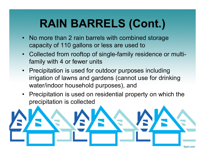# **RAIN BARRELS (Cont.)**

- No more than 2 rain barrels with combined storage capacity of 110 gallons or less are used to
- Collected from rooftop of single-family residence or multifamily with 4 or fewer units
- Precipitation is used for outdoor purposes including irrigation of lawns and gardens (cannot use for drinking water/indoor household purposes), and
- • Precipitation is used on residential property on which the precipitation is collected

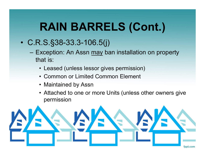## **RAIN BARRELS (Cont.)**

- C.R.S.§38-33.3-106.5(j)
	- Exception: An Assn <u>may</u> ban installation on property that is:
		- Leased (unless lessor gives permission)
		- Common or Limited Common Element
		- Maintained by Assn
		- Attached to one or more Units (unless other owners give permission

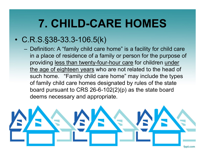#### **7. CHILD-CARE HOMES**

#### •C.R.S.§38-33.3-106.5(k)

– Definition: A "family child care home" is a facility for child care in a place of residence of a family or person for the purpose of providing less than twenty-four-hour care for children under the age of eighteen years who are not related to the head of such home. "Family child care home" may include the types of family child care homes designated by rules of the state board pursuant to CRS 26-6-102(2)(p) as the state board deems necessary and appropriate.

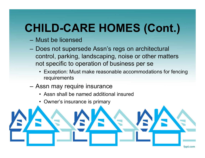## **CHILD-CARE HOMES (Cont.)**

- Must be licensed
- Does not supersede Assn's regs on architectural control, parking, landscaping, noise or other matters not specific to operation of business per se
	- Exception: Must make reasonable accommodations for fencing requirements
- Assn may require insurance
	- Assn shall be named additional insured
	- Owner's insurance is primary

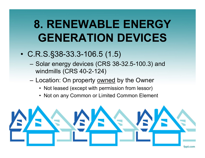### **8. RENEWABLE ENERGY GENERATION DEVICES**

- C.R.S.§38-33.3-106.5 (1.5)
	- – Solar energy devices (CRS 38-32.5-100.3) and windmills (CRS 40-2-124)
	- Location: On property **owned** by the Owner
		- Not leased (except with permission from lessor)
		- Not on any Common or Limited Common Element

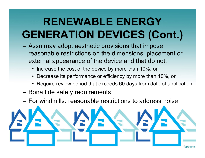## **RENEWABLE ENERGY GENERATION DEVICES (Cont.)**

- –Assn <u>may</u> adopt aesthetic provisions that impose reasonable restrictions on the dimensions, placement or external appearance of the device and that do not:
	- Increase the cost of the device by more than 10%, or
	- Decrease its performance or efficiency by more than 10%, or
	- Require review period that exceeds 60 days from date of application
- –Bona fide safety requirements
- For windmills: reasonable restrictions to address noise

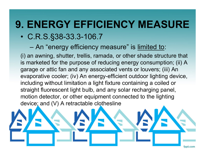#### **9. ENERGY EFFICIENCY MEASURE**

- C.R.S.§38-33.3-106.7
	- –An "energy efficiency measure" is <u>limited to</u>:

(i) an awning, shutter, trellis, ramada, or other shade structure that is marketed for the purpose of reducing energy consumption; (ii) A garage or attic fan and any associated vents or louvers; (iii) An evaporative cooler; (iv) An energy-efficient outdoor lighting device, including without limitation a light fixture containing a coiled or straight fluorescent light bulb, and any solar recharging panel, motion detector, or other equipment connected to the lighting device; and (V) A retractable clothesline

fppt.com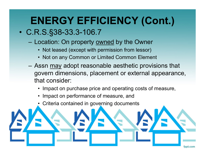#### **ENERGY EFFICIENCY (Cont.)**

#### • C.R.S.§38-33.3-106.7

- Location: On property owned by the Owner
	- Not leased (except with permission from lessor)
	- Not on any Common or Limited Common Element
- Assn <u>may</u> adopt reasonable aesthetic provisions that govern dimensions, placement or external appearance, that consider:
	- Impact on purchase price and operating costs of measure,
	- Impact on performance of measure, and
	- •Criteria contained in governing documents

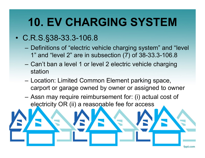### **10. EV CHARGING SYSTEM**

#### • C.R.S.§38-33.3-106.8

- – Definitions of "electric vehicle charging system" and "level 1" and "level 2" are in subsection (7) of 38-33.3-106.8
- Can't ban a level 1 or level 2 electric vehicle charging station
- Location: Limited Common Element parking space, carport or garage owned by owner or assigned to owner
- Assn may require reimbursement for: (i) actual cost of electricity OR (ii) a reasonable fee for access

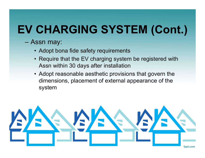# **EV CHARGING SYSTEM (Cont.)**

- – Assn may:
	- Adopt bona fide safety requirements
	- Require that the EV charging system be registered with Assn within 30 days after installation
	- Adopt reasonable aesthetic provisions that govern the dimensions, placement of external appearance of the system

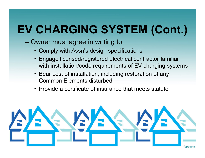# **EV CHARGING SYSTEM (Cont.)**

- – Owner must agree in writing to:
	- Comply with Assn's design specifications
	- Engage licensed/registered electrical contractor familiar with installation/code requirements of EV charging systems
	- Bear cost of installation, including restoration of any Common Elements disturbed
	- Provide a certificate of insurance that meets statute

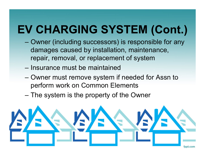# **EV CHARGING SYSTEM (Cont.)**

- – Owner (including successors) is responsible for any damages caused by installation, maintenance, repair, removal, or replacement of system
- Insurance must be maintained
- – Owner must remove system if needed for Assn to perform work on Common Elements
- The system is the property of the Owner

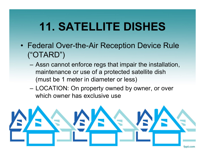#### **11. SATELLITE DISHES**

- Federal Over-the-Air Reception Device Rule ("OTARD")
	- Assn cannot enforce regs that impair the installation, maintenance or use of a protected satellite dish (must be 1 meter in diameter or less)
	- LOCATION: On property owned by owner, or over which owner has exclusive use

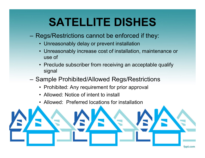## **SATELLITE DISHES**

- Regs/Restrictions cannot be enforced if they:
	- Unreasonably delay or prevent installation
	- Unreasonably increase cost of installation, maintenance or use of
	- Preclude subscriber from receiving an acceptable qualify signal
- – Sample Prohibited/Allowed Regs/Restrictions
	- Prohibited: Any requirement for prior approval
	- Allowed: Notice of intent to install
	- Allowed: Preferred locations for installation

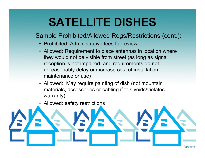#### **SATELLITE DISHES**

- Sample Prohibited/Allowed Regs/Restrictions (cont.):
	- Prohibited: Administrative fees for review
	- Allowed: Requirement to place antennas in location where they would not be visible from street (as long as signal reception is not impaired, and requirements do not unreasonably delay or increase cost of installation, maintenance or use)
	- Allowed: May require painting of dish (not mountain materials, accessories or cabling if this voids/violates warranty)
	- •Allowed: safety restrictions

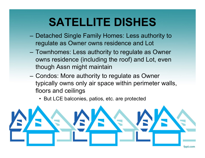#### **SATELLITE DISHES**

- Detached Single Family Homes: Less authority to regulate as Owner owns residence and Lot
- Townhomes: Less authority to regulate as Owner owns residence (including the roof) and Lot, even though Assn might maintain
- – Condos: More authority to regulate as Owner typically owns only air space within perimeter walls, floors and ceilings
	- But LCE balconies, patios, etc. are protected